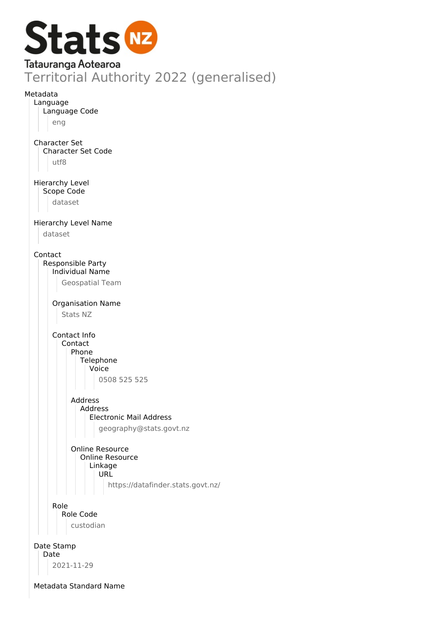

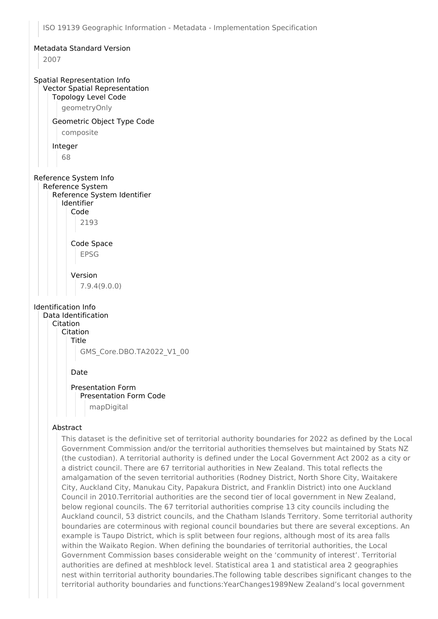## Metadata Standard Version 2007 Spatial Representation Info Vector Spatial Representation Topology Level Code geometryOnly Geometric Object Type Code composite Integer 68 Reference System Info Reference System Reference System Identifier Identifier Code 2193 Code Space EPSG Version 7.9.4(9.0.0) Identification Info Data Identification Citation Citation Title GMS\_Core.DBO.TA2022\_V1\_00 Date Presentation Form Presentation Form Code mapDigital

## Abstract

This dataset is the definitive set of territorial authority boundaries for 2022 as defined by the Local Government Commission and/or the territorial authorities themselves but maintained by Stats NZ (the custodian). A territorial authority is defined under the Local Government Act 2002 as a city or a district council. There are 67 territorial authorities in New Zealand. This total reflects the amalgamation of the seven territorial authorities (Rodney District, North Shore City, Waitakere City, Auckland City, Manukau City, Papakura District, and Franklin District) into one Auckland Council in 2010.Territorial authorities are the second tier of local government in New Zealand, below regional councils. The 67 territorial authorities comprise 13 city councils including the Auckland council, 53 district councils, and the Chatham Islands Territory. Some territorial authority boundaries are coterminous with regional council boundaries but there are several exceptions. An example is Taupo District, which is split between four regions, although most of its area falls within the Waikato Region. When defining the boundaries of territorial authorities, the Local Government Commission bases considerable weight on the 'community of interest'. Territorial authorities are defined at meshblock level. Statistical area 1 and statistical area 2 geographies nest within territorial authority boundaries.The following table describes significant changes to the territorial authority boundaries and functions:YearChanges1989New Zealand's local government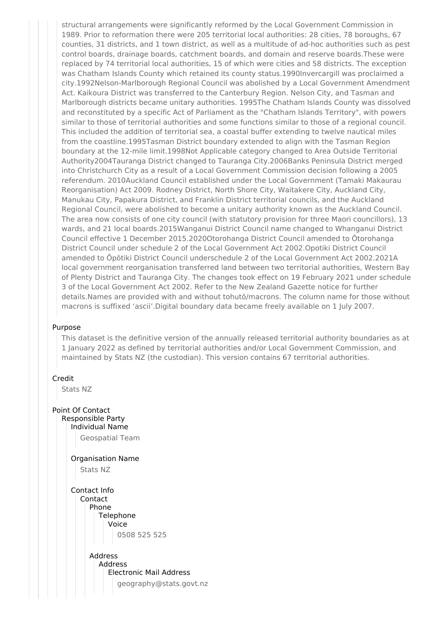structural arrangements were significantly reformed by the Local Government Commission in 1989. Prior to reformation there were 205 territorial local authorities: 28 cities, 78 boroughs, 67 counties, 31 districts, and 1 town district, as well as a multitude of ad-hoc authorities such as pest control boards, drainage boards, catchment boards, and domain and reserve boards.These were replaced by 74 territorial local authorities, 15 of which were cities and 58 districts. The exception was Chatham Islands County which retained its county status.1990Invercargill was proclaimed a city.1992Nelson-Marlborough Regional Council was abolished by a Local Government Amendment Act. Kaikoura District was transferred to the Canterbury Region. Nelson City, and Tasman and Marlborough districts became unitary authorities. 1995The Chatham Islands County was dissolved and reconstituted by a specific Act of Parliament as the "Chatham Islands Territory", with powers similar to those of territorial authorities and some functions similar to those of a regional council. This included the addition of territorial sea, a coastal buffer extending to twelve nautical miles from the coastline.1995Tasman District boundary extended to align with the Tasman Region boundary at the 12-mile limit.1998Not Applicable category changed to Area Outside Territorial Authority2004Tauranga District changed to Tauranga City.2006Banks Peninsula District merged into Christchurch City as a result of a Local Government Commission decision following a 2005 referendum. 2010Auckland Council established under the Local Government (Tamaki Makaurau Reorganisation) Act 2009. Rodney District, North Shore City, Waitakere City, Auckland City, Manukau City, Papakura District, and Franklin District territorial councils, and the Auckland Regional Council, were abolished to become a unitary authority known as the Auckland Council. The area now consists of one city council (with statutory provision for three Maori councillors), 13 wards, and 21 local boards.2015Wanganui District Council name changed to Whanganui District Council effective 1 December 2015.2020Otorohanga District Council amended to Ōtorohanga District Council under schedule 2 of the Local Government Act 2002.Opotiki District Council amended to Ōpōtiki District Council underschedule 2 of the Local Government Act 2002.2021A local government reorganisation transferred land between two territorial authorities, Western Bay of Plenty District and Tauranga City. The changes took effect on 19 February 2021 under schedule 3 of the Local Government Act 2002. Refer to the New Zealand Gazette notice for further details.Names are provided with and without tohutō/macrons. The column name for those without macrons is suffixed 'ascii'.Digital boundary data became freely available on 1 July 2007.

## Purpose

This dataset is the definitive version of the annually released territorial authority boundaries as at 1 January 2022 as defined by territorial authorities and/or Local Government Commission, and maintained by Stats NZ (the custodian). This version contains 67 territorial authorities.



Stats NZ

Point Of Contact Responsible Party Individual Name Geospatial Team Organisation Name Stats NZ Contact Info Contact Phone **Telephone** Voice 0508 525 525 Address Address Electronic Mail Address geography@stats.govt.nz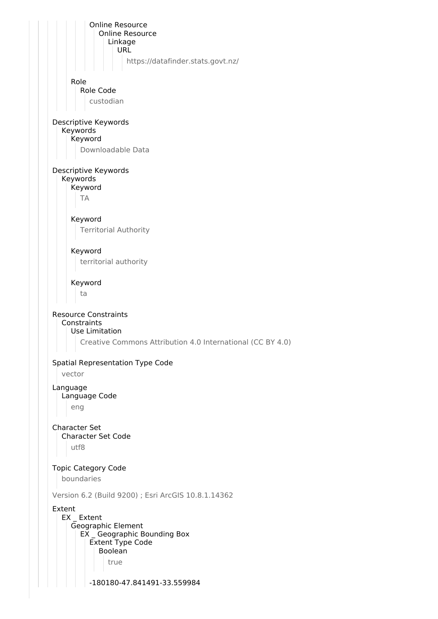Online Resource Online Resource Linkage URL https://datafinder.stats.govt.nz/ Role Role Code custodian Descriptive Keywords Keywords Keyword Downloadable Data Descriptive Keywords Keywords Keyword TA Keyword Territorial Authority Keyword territorial authority Keyword ta Resource Constraints **Constraints** Use Limitation Creative Commons Attribution 4.0 International (CC BY 4.0) Spatial Representation Type Code vector Language Language Code eng Character Set Character Set Code utf8 Topic Category Code boundaries Version 6.2 (Build 9200) ; Esri ArcGIS 10.8.1.14362 Extent EX Extent Geographic Element EX \_ Geographic Bounding Box Extent Type Code Boolean true -180180-47.841491-33.559984